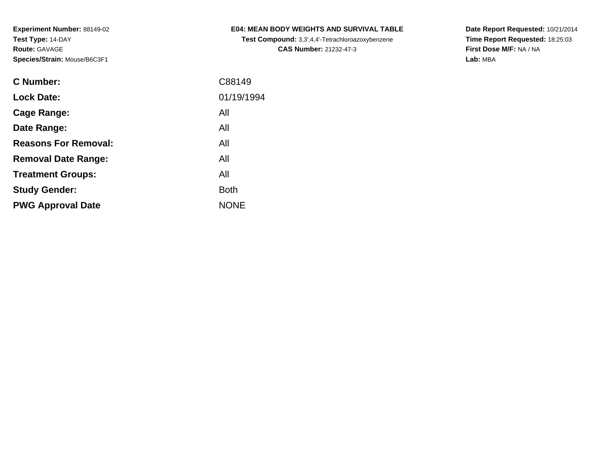|  | <b>E04: MEAN BODY WEIGHTS AND SURVIVAL TABLE</b> |  |  |  |
|--|--------------------------------------------------|--|--|--|
|--|--------------------------------------------------|--|--|--|

**Test Compound:** 3,3',4,4'-Tetrachloroazoxybenzene**CAS Number:** 21232-47-3

**Date Report Requested:** 10/21/2014 **Time Report Requested:** 18:25:03**First Dose M/F:** NA / NA**Lab:** MBA

| <b>C</b> Number:            | C88149      |
|-----------------------------|-------------|
| <b>Lock Date:</b>           | 01/19/1994  |
| Cage Range:                 | All         |
| Date Range:                 | All         |
| <b>Reasons For Removal:</b> | All         |
| <b>Removal Date Range:</b>  | All         |
| <b>Treatment Groups:</b>    | All         |
| <b>Study Gender:</b>        | <b>Both</b> |
| <b>PWG Approval Date</b>    | <b>NONE</b> |
|                             |             |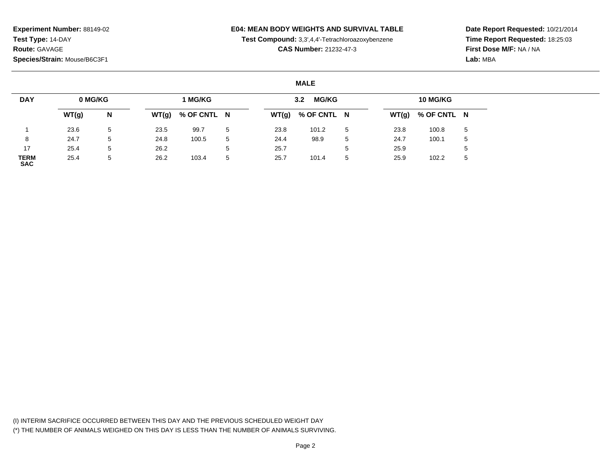### **E04: MEAN BODY WEIGHTS AND SURVIVAL TABLE**

**Test Compound:** 3,3',4,4'-Tetrachloroazoxybenzene

**CAS Number:** 21232-47-3

**Date Report Requested:** 10/21/2014**Time Report Requested:** 18:25:03**First Dose M/F:** NA / NA**Lab:** MBA

#### **MALE**

| <b>DAY</b>                | 0 MG/KG |   |       | 1 MG/KG     |   |       | <b>MG/KG</b><br>3.2 |   |      | 10 MG/KG            |   |
|---------------------------|---------|---|-------|-------------|---|-------|---------------------|---|------|---------------------|---|
|                           | WT(g)   | N | WT(g) | % OF CNTL N |   | WT(g) | % OF CNTL N         |   |      | $WT(g)$ % OF CNTL N |   |
|                           | 23.6    | 5 | 23.5  | 99.7        | 5 | 23.8  | 101.2               | 5 | 23.8 | 100.8               | 5 |
| 8                         | 24.7    | 5 | 24.8  | 100.5       | 5 | 24.4  | 98.9                | 5 | 24.7 | 100.1               |   |
| 17                        | 25.4    | 5 | 26.2  |             |   | 25.7  |                     | 5 | 25.9 |                     |   |
| <b>TERM</b><br><b>SAC</b> | 25.4    | 5 | 26.2  | 103.4       | 5 | 25.7  | 101.4               | 5 | 25.9 | 102.2               |   |

(I) INTERIM SACRIFICE OCCURRED BETWEEN THIS DAY AND THE PREVIOUS SCHEDULED WEIGHT DAY(\*) THE NUMBER OF ANIMALS WEIGHED ON THIS DAY IS LESS THAN THE NUMBER OF ANIMALS SURVIVING.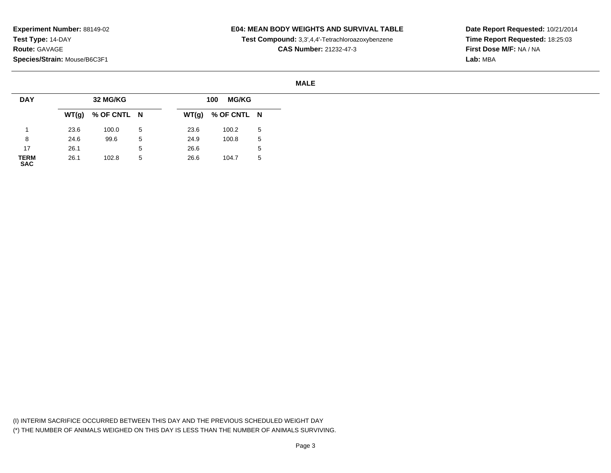### **E04: MEAN BODY WEIGHTS AND SURVIVAL TABLE**

**Test Compound:** 3,3',4,4'-Tetrachloroazoxybenzene

**CAS Number:** 21232-47-3

**Date Report Requested:** 10/21/2014**Time Report Requested:** 18:25:03**First Dose M/F:** NA / NA**Lab:** MBA

#### **MALE**

| <b>DAY</b>          |      | 32 MG/KG            |   |      | <b>MG/KG</b><br>100 |              |
|---------------------|------|---------------------|---|------|---------------------|--------------|
|                     |      | $WT(g)$ % OF CNTL N |   |      | $WT(g)$ % OF CNTL N |              |
|                     | 23.6 | 100.0               | 5 | 23.6 | 100.2               | 5            |
| 8                   | 24.6 | 99.6                | 5 | 24.9 | 100.8               | 5            |
| 17                  | 26.1 |                     | 5 | 26.6 |                     | <sub>5</sub> |
| <b>TERM<br/>SAC</b> | 26.1 | 102.8               | 5 | 26.6 | 104.7               | 5            |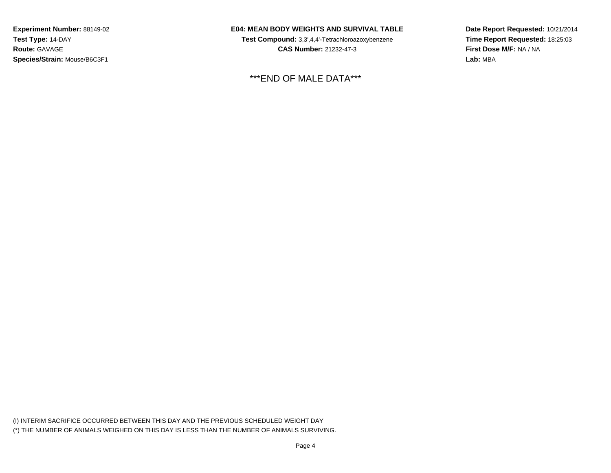## **E04: MEAN BODY WEIGHTS AND SURVIVAL TABLE**

**Test Compound:** 3,3',4,4'-Tetrachloroazoxybenzene**CAS Number:** 21232-47-3

\*\*\*END OF MALE DATA\*\*\*

**Date Report Requested:** 10/21/2014**Time Report Requested:** 18:25:03**First Dose M/F:** NA / NA**Lab:** MBA

(I) INTERIM SACRIFICE OCCURRED BETWEEN THIS DAY AND THE PREVIOUS SCHEDULED WEIGHT DAY(\*) THE NUMBER OF ANIMALS WEIGHED ON THIS DAY IS LESS THAN THE NUMBER OF ANIMALS SURVIVING.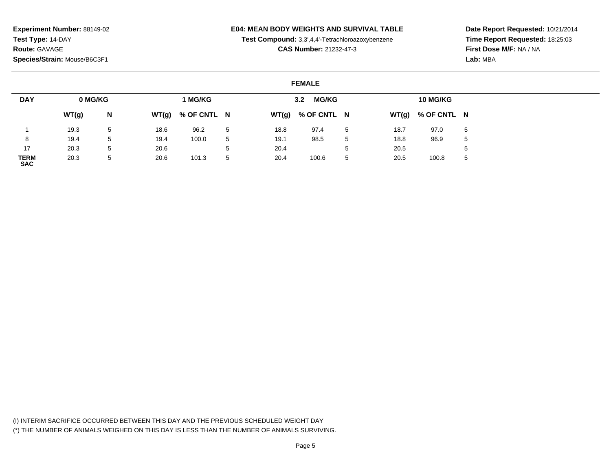### **E04: MEAN BODY WEIGHTS AND SURVIVAL TABLE**

**Test Compound:** 3,3',4,4'-Tetrachloroazoxybenzene

**CAS Number:** 21232-47-3

**Date Report Requested:** 10/21/2014**Time Report Requested:** 18:25:03**First Dose M/F:** NA / NA**Lab:** MBA

#### **FEMALE**

| <b>DAY</b>                | 0 MG/KG |   |       | 1 MG/KG     |             |       | <b>MG/KG</b><br>3.2 <sub>2</sub> |    |      | 10 MG/KG            |   |
|---------------------------|---------|---|-------|-------------|-------------|-------|----------------------------------|----|------|---------------------|---|
|                           | WT(g)   | N | WT(g) | % OF CNTL N |             | WT(g) | % OF CNTL N                      |    |      | $WT(g)$ % OF CNTL N |   |
|                           | 19.3    | 5 | 18.6  | 96.2        | 5           | 18.8  | 97.4                             | -5 | 18.7 | 97.0                | 5 |
|                           | 19.4    | 5 | 19.4  | 100.0       | 5           | 19.1  | 98.5                             | 5  | 18.8 | 96.9                | 5 |
| 17                        | 20.3    | 5 | 20.6  |             | $5^{\circ}$ | 20.4  |                                  |    | 20.5 |                     | 5 |
| <b>TERM</b><br><b>SAC</b> | 20.3    | 5 | 20.6  | 101.3       | 5           | 20.4  | 100.6                            | 5  | 20.5 | 100.8               | 5 |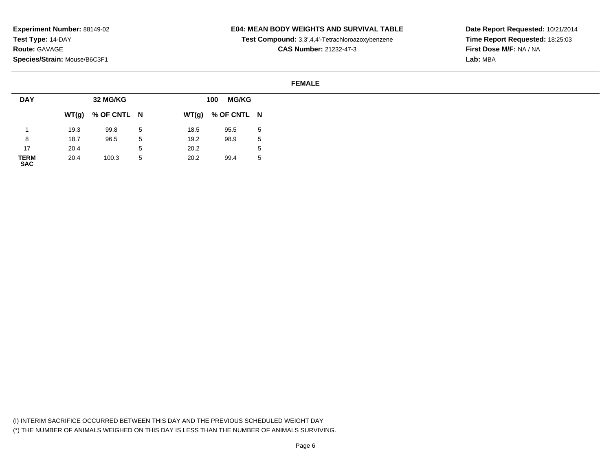### **E04: MEAN BODY WEIGHTS AND SURVIVAL TABLE**

**Test Compound:** 3,3',4,4'-Tetrachloroazoxybenzene

**CAS Number:** 21232-47-3

**Date Report Requested:** 10/21/2014**Time Report Requested:** 18:25:03**First Dose M/F:** NA / NA**Lab:** MBA

#### **FEMALE**

| <b>DAY</b>          |      | 32 MG/KG            |   |       | <b>MG/KG</b><br>100 |   |
|---------------------|------|---------------------|---|-------|---------------------|---|
|                     |      | $WT(g)$ % OF CNTL N |   | WT(g) | % OF CNTL N         |   |
|                     | 19.3 | 99.8                | 5 | 18.5  | 95.5                | 5 |
| 8                   | 18.7 | 96.5                | 5 | 19.2  | 98.9                | 5 |
| 17                  | 20.4 |                     | 5 | 20.2  |                     | 5 |
| <b>TERM<br/>SAC</b> | 20.4 | 100.3               | 5 | 20.2  | 99.4                | 5 |